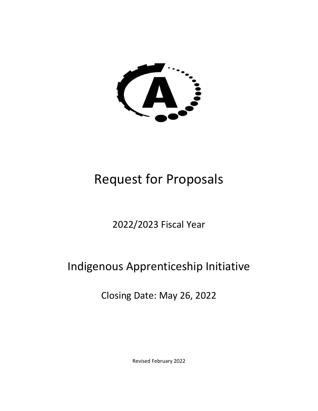

# Request for Proposals

# 2022/2023 Fiscal Year

# Indigenous Apprenticeship Initiative

Closing Date: May 26, 2022

Revised February 2022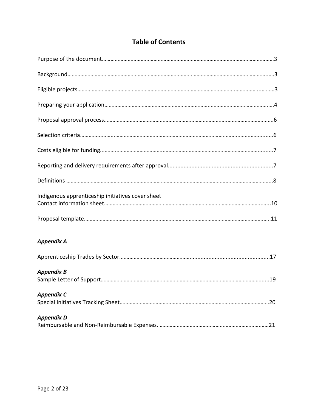| Indigenous apprenticeship initiatives cover sheet |
|---------------------------------------------------|
|                                                   |
| <b>Appendix A</b>                                 |
|                                                   |
| <b>Appendix B</b>                                 |
| <b>Appendix C</b>                                 |
| <b>Appendix D</b>                                 |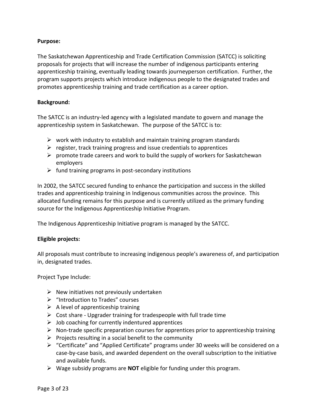### **Purpose:**

The Saskatchewan Apprenticeship and Trade Certification Commission (SATCC) is soliciting proposals for projects that will increase the number of indigenous participants entering apprenticeship training, eventually leading towards journeyperson certification. Further, the program supports projects which introduce indigenous people to the designated trades and promotes apprenticeship training and trade certification as a career option.

### **Background:**

The SATCC is an industry-led agency with a legislated mandate to govern and manage the apprenticeship system in Saskatchewan. The purpose of the SATCC is to:

- $\triangleright$  work with industry to establish and maintain training program standards
- $\triangleright$  register, track training progress and issue credentials to apprentices
- $\triangleright$  promote trade careers and work to build the supply of workers for Saskatchewan employers
- $\triangleright$  fund training programs in post-secondary institutions

In 2002, the SATCC secured funding to enhance the participation and success in the skilled trades and apprenticeship training in Indigenous communities across the province. This allocated funding remains for this purpose and is currently utilized as the primary funding source for the Indigenous Apprenticeship Initiative Program.

The Indigenous Apprenticeship Initiative program is managed by the SATCC.

### **Eligible projects:**

All proposals must contribute to increasing indigenous people's awareness of, and participation in, designated trades.

Project Type Include:

- $\triangleright$  New initiatives not previously undertaken
- ➢ "Introduction to Trades" courses
- $\triangleright$  A level of apprenticeship training
- $\triangleright$  Cost share Upgrader training for tradespeople with full trade time
- $\triangleright$  Job coaching for currently indentured apprentices
- $\triangleright$  Non-trade specific preparation courses for apprentices prior to apprenticeship training
- $\triangleright$  Projects resulting in a social benefit to the community
- $\triangleright$  "Certificate" and "Applied Certificate" programs under 30 weeks will be considered on a case-by-case basis, and awarded dependent on the overall subscription to the initiative and available funds.
- ➢ Wage subsidy programs are **NOT** eligible for funding under this program.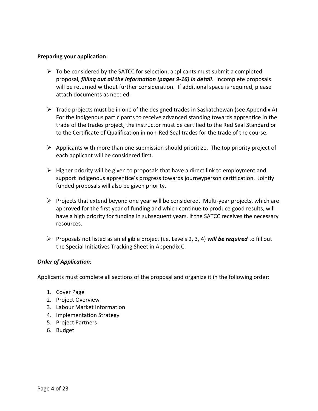### **Preparing your application:**

- $\triangleright$  To be considered by the SATCC for selection, applicants must submit a completed proposal*, filling out all the information (pages 9-16) in detail*. Incomplete proposals will be returned without further consideration. If additional space is required, please attach documents as needed.
- $\triangleright$  Trade projects must be in one of the designed trades in Saskatchewan (see Appendix A). For the indigenous participants to receive advanced standing towards apprentice in the trade of the trades project, the instructor must be certified to the Red Seal Standard or to the Certificate of Qualification in non-Red Seal trades for the trade of the course.
- $\triangleright$  Applicants with more than one submission should prioritize. The top priority project of each applicant will be considered first.
- $\triangleright$  Higher priority will be given to proposals that have a direct link to employment and support Indigenous apprentice's progress towards journeyperson certification. Jointly funded proposals will also be given priority.
- $\triangleright$  Projects that extend beyond one year will be considered. Multi-year projects, which are approved for the first year of funding and which continue to produce good results, will have a high priority for funding in subsequent years, if the SATCC receives the necessary resources.
- ➢ Proposals not listed as an eligible project (i.e. Levels 2, 3, 4) *will be required* to fill out the Special Initiatives Tracking Sheet in Appendix C.

### *Order of Application:*

Applicants must complete all sections of the proposal and organize it in the following order:

- 1. Cover Page
- 2. Project Overview
- 3. Labour Market Information
- 4. Implementation Strategy
- 5. Project Partners
- 6. Budget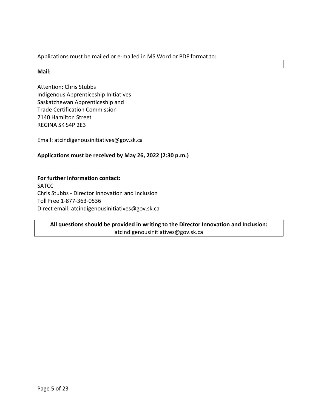Applications must be mailed or e-mailed in MS Word or PDF format to:

### **Mail:**

Attention: Chris Stubbs Indigenous Apprenticeship Initiatives Saskatchewan Apprenticeship and Trade Certification Commission 2140 Hamilton Street REGINA SK S4P 2E3

Email: atcindigenousinitiatives@gov.sk.ca

### **Applications must be received by May 26, 2022 (2:30 p.m.)**

## **For further information contact: SATCC** Chris Stubbs - Director Innovation and Inclusion

Toll Free 1-877-363-0536 Direct email: atcindigenousinitiatives@gov.sk.ca

### **All questions should be provided in writing to the Director Innovation and Inclusion:**  atcindigenousinitiatives@gov.sk.ca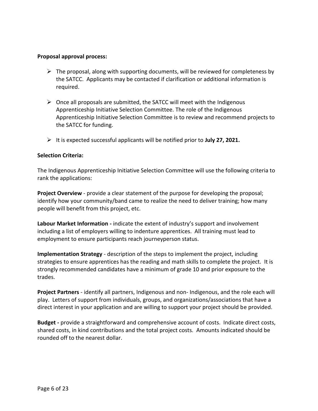#### **Proposal approval process:**

- $\triangleright$  The proposal, along with supporting documents, will be reviewed for completeness by the SATCC. Applicants may be contacted if clarification or additional information is required.
- $\triangleright$  Once all proposals are submitted, the SATCC will meet with the Indigenous Apprenticeship Initiative Selection Committee. The role of the Indigenous Apprenticeship Initiative Selection Committee is to review and recommend projects to the SATCC for funding.
- ➢ It is expected successful applicants will be notified prior to **July 27, 2021.**

### **Selection Criteria:**

The Indigenous Apprenticeship Initiative Selection Committee will use the following criteria to rank the applications:

**Project Overview** - provide a clear statement of the purpose for developing the proposal; identify how your community/band came to realize the need to deliver training; how many people will benefit from this project, etc.

**Labour Market Information -** indicate the extent of industry's support and involvement including a list of employers willing to indenture apprentices. All training must lead to employment to ensure participants reach journeyperson status.

**Implementation Strategy** - description of the steps to implement the project, including strategies to ensure apprentices has the reading and math skills to complete the project. It is strongly recommended candidates have a minimum of grade 10 and prior exposure to the trades.

**Project Partners** - identify all partners, Indigenous and non- Indigenous, and the role each will play. Letters of support from individuals, groups, and organizations/associations that have a direct interest in your application and are willing to support your project should be provided.

**Budget -** provide a straightforward and comprehensive account of costs. Indicate direct costs, shared costs, in kind contributions and the total project costs. Amounts indicated should be rounded off to the nearest dollar.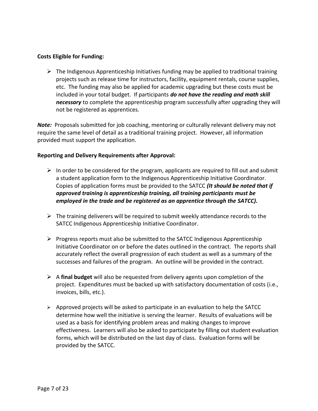### **Costs Eligible for Funding:**

 $\triangleright$  The Indigenous Apprenticeship Initiatives funding may be applied to traditional training projects such as release time for instructors, facility, equipment rentals, course supplies, etc. The funding may also be applied for academic upgrading but these costs must be included in your total budget. If participants *do not have the reading and math skill necessary* to complete the apprenticeship program successfully after upgrading they will not be registered as apprentices.

*Note:* Proposals submitted for job coaching, mentoring or culturally relevant delivery may not require the same level of detail as a traditional training project. However, all information provided must support the application.

### **Reporting and Delivery Requirements after Approval:**

- $\triangleright$  In order to be considered for the program, applicants are required to fill out and submit a student application form to the Indigenous Apprenticeship Initiative Coordinator. Copies of application forms must be provided to the SATCC *(It should be noted that if approved training is apprenticeship training, all training participants must be employed in the trade and be registered as an apprentice through the SATCC).*
- $\triangleright$  The training deliverers will be required to submit weekly attendance records to the SATCC Indigenous Apprenticeship Initiative Coordinator.
- $\triangleright$  Progress reports must also be submitted to the SATCC Indigenous Apprenticeship Initiative Coordinator on or before the dates outlined in the contract. The reports shall accurately reflect the overall progression of each student as well as a summary of the successes and failures of the program. An outline will be provided in the contract.
- ➢ A **final budget** will also be requested from delivery agents upon completion of the project. Expenditures must be backed up with satisfactory documentation of costs (i.e., invoices, bills, etc.).
- $\triangleright$  Approved projects will be asked to participate in an evaluation to help the SATCC determine how well the initiative is serving the learner. Results of evaluations will be used as a basis for identifying problem areas and making changes to improve effectiveness. Learners will also be asked to participate by filling out student evaluation forms, which will be distributed on the last day of class. Evaluation forms will be provided by the SATCC.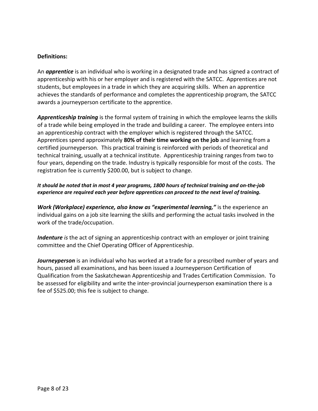### **Definitions:**

An *apprentice* is an individual who is working in a designated trade and has signed a contract of apprenticeship with his or her employer and is registered with the SATCC. Apprentices are not students, but employees in a trade in which they are acquiring skills. When an apprentice achieves the standards of performance and completes the apprenticeship program, the SATCC awards a journeyperson certificate to the apprentice.

*Apprenticeship training* is the formal system of training in which the employee learns the skills of a trade while being employed in the trade and building a career. The employee enters into an apprenticeship contract with the employer which is registered through the SATCC. Apprentices spend approximately **80% of their time working on the job** and learning from a certified journeyperson*.* This practical training is reinforced with periods of theoretical and technical training, usually at a technical institute. Apprenticeship training ranges from two to four years, depending on the trade. Industry is typically responsible for most of the costs. The registration fee is currently \$200.00, but is subject to change.

### *It should be noted that in most 4 year programs, 1800 hours of technical training and on-the-job experience are required each year before apprentices can proceed to the next level of training.*

*Work (Workplace) experience, also know as "experimental learning,"* is the experience an individual gains on a job site learning the skills and performing the actual tasks involved in the work of the trade/occupation.

*Indenture is* the act of signing an apprenticeship contract with an employer or joint training committee and the Chief Operating Officer of Apprenticeship.

*Journeyperson* is an individual who has worked at a trade for a prescribed number of years and hours, passed all examinations, and has been issued a Journeyperson Certification of Qualification from the Saskatchewan Apprenticeship and Trades Certification Commission. To be assessed for eligibility and write the inter-provincial journeyperson examination there is a fee of \$525.00; this fee is subject to change.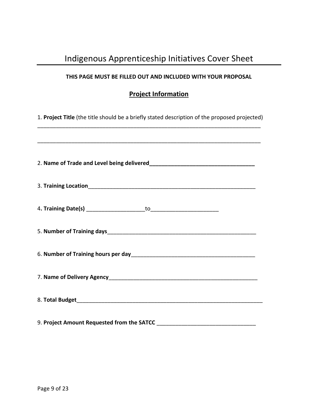# Indigenous Apprenticeship Initiatives Cover Sheet

### **THIS PAGE MUST BE FILLED OUT AND INCLUDED WITH YOUR PROPOSAL**

# **Project Information**

1. **Project Title** (the title should be a briefly stated description of the proposed projected) \_\_\_\_\_\_\_\_\_\_\_\_\_\_\_\_\_\_\_\_\_\_\_\_\_\_\_\_\_\_\_\_\_\_\_\_\_\_\_\_\_\_\_\_\_\_\_\_\_\_\_\_\_\_\_\_\_\_\_\_\_\_\_\_\_\_\_\_\_\_\_\_

| 9. Project Amount Requested from the SATCC |
|--------------------------------------------|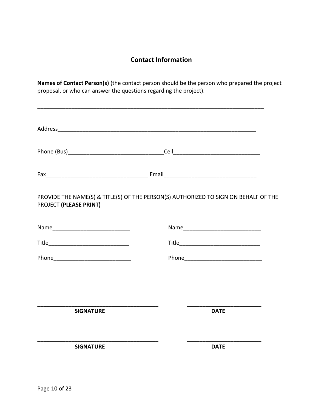# **Contact Information**

**Names of Contact Person(s)** (the contact person should be the person who prepared the project proposal, or who can answer the questions regarding the project).

\_\_\_\_\_\_\_\_\_\_\_\_\_\_\_\_\_\_\_\_\_\_\_\_\_\_\_\_\_\_\_\_\_\_\_\_\_\_\_\_\_\_\_\_\_\_\_\_\_\_\_\_\_\_\_\_\_\_\_\_\_\_\_\_\_\_\_\_\_\_\_\_\_

| PROJECT (PLEASE PRINT) | PROVIDE THE NAME(S) & TITLE(S) OF THE PERSON(S) AUTHORIZED TO SIGN ON BEHALF OF THE |  |
|------------------------|-------------------------------------------------------------------------------------|--|
|                        |                                                                                     |  |
|                        |                                                                                     |  |
|                        |                                                                                     |  |
|                        |                                                                                     |  |
|                        |                                                                                     |  |
| <b>SIGNATURE</b>       | <b>DATE</b>                                                                         |  |
| <b>SIGNATURE</b>       | <b>DATE</b>                                                                         |  |
|                        |                                                                                     |  |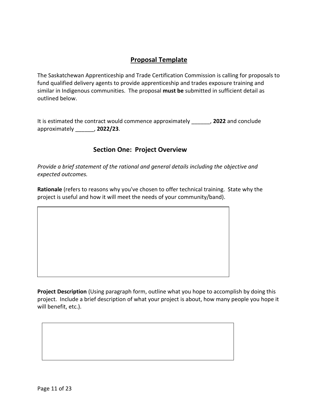# **Proposal Template**

The Saskatchewan Apprenticeship and Trade Certification Commission is calling for proposals to fund qualified delivery agents to provide apprenticeship and trades exposure training and similar in Indigenous communities. The proposal **must be** submitted in sufficient detail as outlined below.

It is estimated the contract would commence approximately \_\_\_\_\_\_, **2022** and conclude approximately \_\_\_\_\_\_, **2022/23**.

### **Section One: Project Overview**

*Provide a brief statement of the rational and general details including the objective and expected outcomes.* 

**Rationale** (refers to reasons why you've chosen to offer technical training. State why the project is useful and how it will meet the needs of your community/band).



**Project Description** (Using paragraph form, outline what you hope to accomplish by doing this project. Include a brief description of what your project is about, how many people you hope it will benefit, etc.).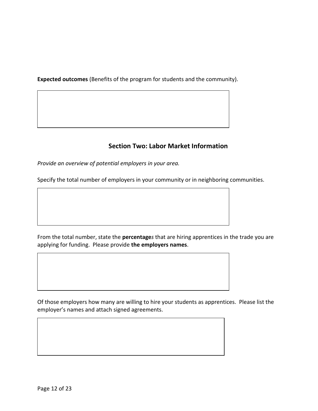**Expected outcomes** (Benefits of the program for students and the community).

## **Section Two: Labor Market Information**

*Provide an overview of potential employers in your area.* 

Specify the total number of employers in your community or in neighboring communities.

From the total number, state the **percentage***s* that are hiring apprentices in the trade you are applying for funding. Please provide **the employers names**.

Of those employers how many are willing to hire your students as apprentices. Please list the employer's names and attach signed agreements.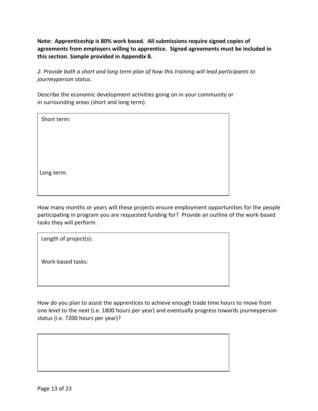**Note: Apprenticeship is 80% work based. All submissions require signed copies of agreements from employers willing to apprentice. Signed agreements must be included in this section. Sample provided in Appendix B.** 

*2. Provide both a short and long term plan of how this training will lead participants to journeyperson status.*

Describe the economic development activities going on in your community or in surrounding areas (short and long term).

| Short term: |
|-------------|
|             |
|             |
|             |
| Long term:  |
|             |

How many months or years will these projects ensure employment opportunities for the people participating in program you are requested funding for? Provide an outline of the work-based tasks they will perform.

| Length of project(s): |  |
|-----------------------|--|
| Work-based tasks:     |  |
|                       |  |

How do you plan to assist the apprentices to achieve enough trade time hours to move from one level to the next (i.e. 1800 hours per year) and eventually progress towards journeyperson status (i.e. 7200 hours per year)?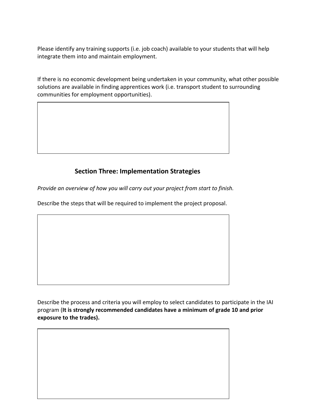Please identify any training supports (i.e. job coach) available to your students that will help integrate them into and maintain employment.

If there is no economic development being undertaken in your community, what other possible solutions are available in finding apprentices work (i.e. transport student to surrounding communities for employment opportunities).

## **Section Three: Implementation Strategies**

*Provide an overview of how you will carry out your project from start to finish.* 

Describe the steps that will be required to implement the project proposal.

Page 14 of 23

Describe the process and criteria you will employ to select candidates to participate in the IAI program (**It is strongly recommended candidates have a minimum of grade 10 and prior exposure to the trades).**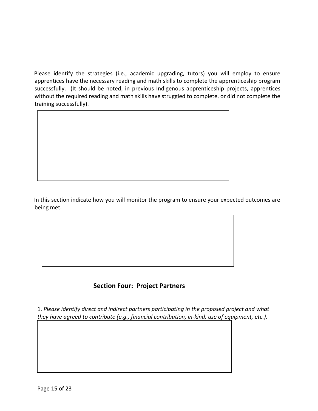Please identify the strategies (i.e., academic upgrading, tutors) you will employ to ensure apprentices have the necessary reading and math skills to complete the apprenticeship program successfully. (It should be noted, in previous Indigenous apprenticeship projects, apprentices without the required reading and math skills have struggled to complete, or did not complete the training successfully).



In this section indicate how you will monitor the program to ensure your expected outcomes are being met.

### **Section Four: Project Partners**

1. *Please identify direct and indirect partners participating in the proposed project and what they have agreed to contribute (e.g., financial contribution, in-kind, use of equipment, etc.).*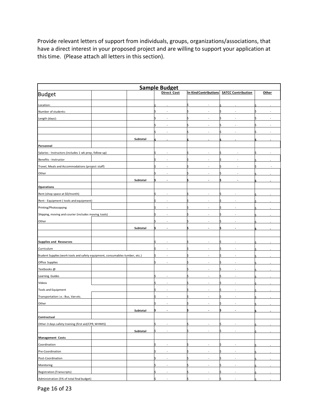Provide relevant letters of support from individuals, groups, organizations/associations, that have a direct interest in your proposed project and are willing to support your application at this time. (Please attach all letters in this section).

| <b>Sample Budget</b>                                                         |  |          |                                    |                          |                           |       |
|------------------------------------------------------------------------------|--|----------|------------------------------------|--------------------------|---------------------------|-------|
| <b>Budget</b>                                                                |  |          | <b>Direct Cost</b>                 | In Kind Contributions    | <b>SATCC Contribution</b> | Other |
| Location:                                                                    |  |          |                                    |                          |                           |       |
| Number of students:                                                          |  |          |                                    |                          |                           |       |
| Length (days):                                                               |  |          | ٠                                  | ÷                        |                           |       |
|                                                                              |  |          | ٠                                  |                          |                           |       |
|                                                                              |  |          | $\sim$                             |                          |                           |       |
|                                                                              |  | Subtotal |                                    |                          |                           |       |
| Personnel                                                                    |  |          |                                    |                          |                           |       |
| Salaries - Instructors (includes 1 wk prep, follow-up)                       |  |          |                                    |                          |                           |       |
| Benefits - Instructor                                                        |  |          |                                    |                          |                           |       |
| Travel, Meals and Accommodations (project staff)                             |  |          | ٠                                  |                          |                           |       |
| Other                                                                        |  |          | $\overline{\phantom{a}}$           |                          |                           |       |
|                                                                              |  | Subtotal |                                    |                          |                           |       |
| <b>Operations</b>                                                            |  |          |                                    |                          |                           |       |
| Rent (shop space at \$0/month)                                               |  |          |                                    |                          |                           |       |
| Rent - Equipment (tools and equipment)                                       |  |          |                                    |                          |                           |       |
| Printing/Photocopying                                                        |  |          | $\overline{\phantom{a}}$           |                          |                           |       |
| Shipping, moving and courier (includes moving tools)                         |  |          | ×                                  |                          |                           |       |
| Other                                                                        |  |          | $\overline{\phantom{a}}$           |                          |                           |       |
|                                                                              |  | Subtotal | $\blacksquare$                     | $\overline{\phantom{a}}$ |                           |       |
|                                                                              |  |          |                                    |                          |                           |       |
| <b>Supplies and Resources</b>                                                |  |          | $\overline{\phantom{a}}$           |                          |                           |       |
| Curriculum                                                                   |  |          | ä,                                 |                          |                           |       |
| Student Supplies (work tools and safety equipment, consumables-lumber, etc.) |  |          | ٠                                  |                          |                           |       |
|                                                                              |  |          |                                    |                          |                           |       |
| Office Supplies<br>Textbooks@                                                |  |          |                                    |                          |                           |       |
|                                                                              |  |          | $\overline{\phantom{a}}$           | ٠                        |                           |       |
| Learning Guides                                                              |  |          |                                    |                          |                           |       |
| Videos                                                                       |  |          |                                    |                          |                           |       |
| <b>Tools and Equipment</b>                                                   |  |          | ٠                                  |                          |                           |       |
| Transportation i.e.: Bus, Van etc.                                           |  |          | ä,                                 |                          |                           |       |
| Other                                                                        |  |          | ٠                                  | ÷,                       |                           |       |
|                                                                              |  | Subtotal | $\overline{\phantom{a}}$           | $\overline{\phantom{a}}$ |                           |       |
| Contractual                                                                  |  |          |                                    |                          |                           |       |
| Other-3 days safety training (first aid/CPR, WHMIS)                          |  |          | $\overline{\phantom{a}}$<br>$\sim$ | $\overline{\phantom{a}}$ | ٠<br>×                    |       |
| <b>Management Costs</b>                                                      |  | Subtotal |                                    |                          |                           |       |
| Coordination                                                                 |  |          | $\overline{\phantom{a}}$           | ٠                        | ٠                         |       |
| Pre-Coordination                                                             |  |          | ä,                                 |                          |                           |       |
| Post-Coordination                                                            |  |          | $\overline{\phantom{a}}$           | ٠                        | ٠                         |       |
| Monitoring                                                                   |  |          |                                    |                          |                           |       |
| <b>Registration (Transcripts)</b>                                            |  |          |                                    | $\sim$                   | ÷,                        |       |
| Administration (5% of total final budget)                                    |  |          | $\overline{\phantom{a}}$           | s                        | ٠                         |       |
|                                                                              |  |          |                                    |                          |                           |       |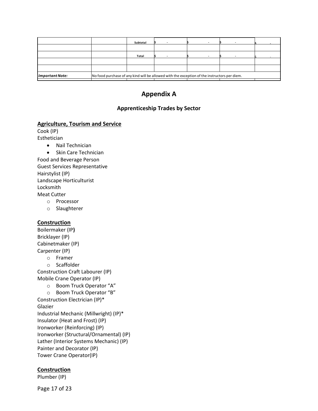|                        |                                                                                              | Subtotal |  |  |  |  |
|------------------------|----------------------------------------------------------------------------------------------|----------|--|--|--|--|
|                        |                                                                                              |          |  |  |  |  |
|                        |                                                                                              | Total    |  |  |  |  |
|                        |                                                                                              |          |  |  |  |  |
|                        |                                                                                              |          |  |  |  |  |
| <b>Important Note:</b> | No food purchase of any kind will be allowed with the exception of the instructors per diem. |          |  |  |  |  |

# **Appendix A**

### **Apprenticeship Trades by Sector**

### **Agriculture, Tourism and Service**

Cook (IP) Esthetician

- Nail Technician
- Skin Care Technician Food and Beverage Person

Guest Services Representative Hairstylist (IP) Landscape Horticulturist Locksmith Meat Cutter

- o Processor
- o Slaughterer

### **Construction**

Boilermaker (IP**)** Bricklayer (IP) Cabinetmaker (IP) Carpenter (IP) o Framer

o Scaffolder

Construction Craft Labourer (IP) Mobile Crane Operator (IP)

o Boom Truck Operator "A"

o Boom Truck Operator "B" Construction Electrician (IP)\* Glazier Industrial Mechanic (Millwright) (IP)\* Insulator (Heat and Frost) (IP) Ironworker (Reinforcing) (IP) Ironworker (Structural/Ornamental) (IP) Lather (Interior Systems Mechanic) (IP) Painter and Decorator (IP) Tower Crane Operator(IP)

### **Construction**

Plumber (IP)

Page 17 of 23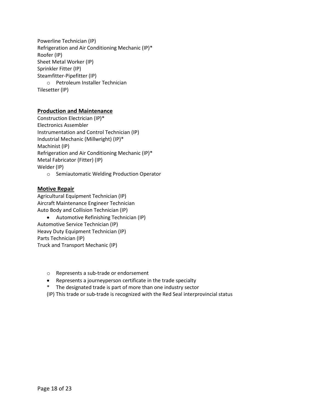Powerline Technician (IP) Refrigeration and Air Conditioning Mechanic (IP)\* Roofer (IP) Sheet Metal Worker (IP) Sprinkler Fitter (IP) Steamfitter-Pipefitter (IP) o Petroleum Installer Technician Tilesetter (IP)

### **Production and Maintenance**

Construction Electrician (IP)\* Electronics Assembler Instrumentation and Control Technician (IP) Industrial Mechanic (Millwright) (IP)\* Machinist (IP) Refrigeration and Air Conditioning Mechanic (IP)\* Metal Fabricator (Fitter) (IP) Welder (IP)

o Semiautomatic Welding Production Operator

### **Motive Repair**

Agricultural Equipment Technician (IP) Aircraft Maintenance Engineer Technician Auto Body and Collision Technician (IP)

• Automotive Refinishing Technician (IP) Automotive Service Technician (IP) Heavy Duty Equipment Technician (IP) Parts Technician (IP) Truck and Transport Mechanic (IP)

- o Represents a sub-trade or endorsement
- Represents a journeyperson certificate in the trade specialty
- \* The designated trade is part of more than one industry sector
- (IP) This trade or sub-trade is recognized with the Red Seal interprovincial status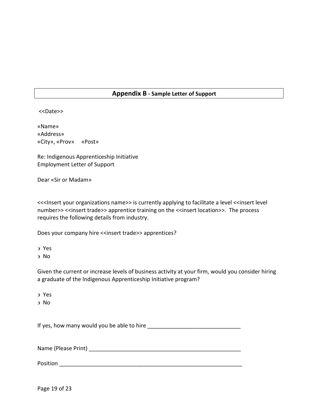### **Appendix B - Sample Letter of Support**

<<Date>>

«Name» «Address» «City», «Prov» «Post»

Re: Indigenous Apprenticeship Initiative Employment Letter of Support

Dear «Sir or Madam»

<<<Insert your organizations name>> is currently applying to facilitate a level <<insert level number>> <<insert trade>> apprentice training on the <<insert location>>. The process requires the following details from industry.

Does your company hire <<insert trade>> apprentices?

- Yes
- No

Given the current or increase levels of business activity at your firm, would you consider hiring a graduate of the Indigenous Apprenticeship Initiative program?

Yes

No

If yes, how many would you be able to hire

Name (Please Print) **Name** (Please Print)

Position and the set of the set of the set of the set of the set of the set of the set of the set of the set of the set of the set of the set of the set of the set of the set of the set of the set of the set of the set of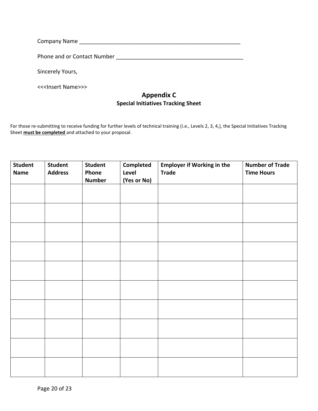| Company Name                |  |
|-----------------------------|--|
| Phone and or Contact Number |  |
| Sincerely Yours,            |  |

# **Appendix C Special Initiatives Tracking Sheet**

For those re-submitting to receive funding for further levels of technical training (i.e., Levels 2, 3, 4,), the Special Initiatives Tracking Sheet **must be completed** and attached to your proposal.

| <b>Student</b><br><b>Name</b> | <b>Student</b><br><b>Address</b> | <b>Student</b><br>Phone<br><b>Number</b> | <b>Completed</b><br>Level<br>(Yes or No) | <b>Employer if Working in the</b><br><b>Trade</b> | <b>Number of Trade</b><br><b>Time Hours</b> |
|-------------------------------|----------------------------------|------------------------------------------|------------------------------------------|---------------------------------------------------|---------------------------------------------|
|                               |                                  |                                          |                                          |                                                   |                                             |
|                               |                                  |                                          |                                          |                                                   |                                             |
|                               |                                  |                                          |                                          |                                                   |                                             |
|                               |                                  |                                          |                                          |                                                   |                                             |
|                               |                                  |                                          |                                          |                                                   |                                             |
|                               |                                  |                                          |                                          |                                                   |                                             |
|                               |                                  |                                          |                                          |                                                   |                                             |
|                               |                                  |                                          |                                          |                                                   |                                             |
|                               |                                  |                                          |                                          |                                                   |                                             |
|                               |                                  |                                          |                                          |                                                   |                                             |

<<<Insert Name>>>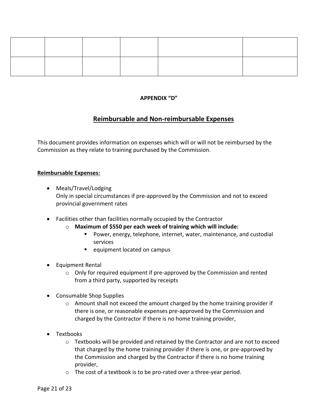### **APPENDIX "D"**

### **Reimbursable and Non-reimbursable Expenses**

This document provides information on expenses which will or will not be reimbursed by the Commission as they relate to training purchased by the Commission.

#### **Reimbursable Expenses:**

- Meals/Travel/Lodging Only in special circumstances if pre-approved by the Commission and not to exceed provincial government rates
- Facilities other than facilities normally occupied by the Contractor
	- o **Maximum of \$550 per each week of training which will include:**
		- Power, energy, telephone, internet, water, maintenance, and custodial services
		- equipment located on campus
- Equipment Rental
	- $\circ$  Only for required equipment if pre-approved by the Commission and rented from a third party, supported by receipts
- Consumable Shop Supplies
	- $\circ$  Amount shall not exceed the amount charged by the home training provider if there is one, or reasonable expenses pre-approved by the Commission and charged by the Contractor if there is no home training provider,
- Textbooks
	- $\circ$  Textbooks will be provided and retained by the Contractor and are not to exceed that charged by the home training provider if there is one, or pre-approved by the Commission and charged by the Contractor if there is no home training provider,
	- o The cost of a textbook is to be pro-rated over a three-year period.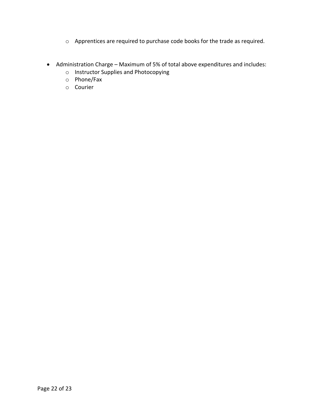- o Apprentices are required to purchase code books for the trade as required.
- Administration Charge Maximum of 5% of total above expenditures and includes:
	- o Instructor Supplies and Photocopying
	- o Phone/Fax
	- o Courier